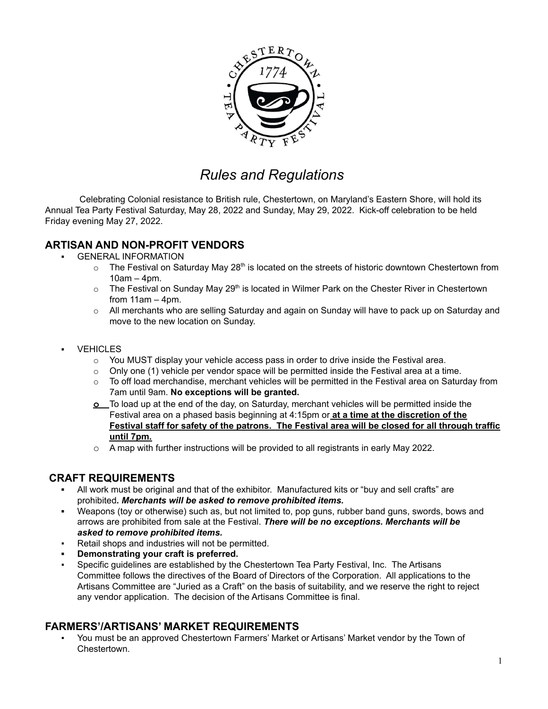

# *Rules and Regulations*

Celebrating Colonial resistance to British rule, Chestertown, on Maryland's Eastern Shore, will hold its Annual Tea Party Festival Saturday, May 28, 2022 and Sunday, May 29, 2022. Kick-off celebration to be held Friday evening May 27, 2022.

# **ARTISAN AND NON-PROFIT VENDORS**

- **GENERAL INFORMATION** 
	- $\circ$  The Festival on Saturday May 28<sup>th</sup> is located on the streets of historic downtown Chestertown from 10am – 4pm.
	- $\circ$  The Festival on Sunday May 29<sup>th</sup> is located in Wilmer Park on the Chester River in Chestertown from 11am – 4pm.
	- o All merchants who are selling Saturday and again on Sunday will have to pack up on Saturday and move to the new location on Sunday.
- **VEHICLES** 
	- $\circ$  You MUST display your vehicle access pass in order to drive inside the Festival area.
	- $\circ$  Only one (1) vehicle per vendor space will be permitted inside the Festival area at a time.
	- $\circ$  To off load merchandise, merchant vehicles will be permitted in the Festival area on Saturday from 7am until 9am. **No exceptions will be granted.**
	- **o** To load up at the end of the day, on Saturday, merchant vehicles will be permitted inside the Festival area on a phased basis beginning at 4:15pm or **at a time at the discretion of the Festival staff for safety of the patrons. The Festival area will be closed for all through traffic until 7pm.**
	- o A map with further instructions will be provided to all registrants in early May 2022.

### **CRAFT REQUIREMENTS**

- All work must be original and that of the exhibitor. Manufactured kits or "buy and sell crafts" are prohibited*. Merchants will be asked to remove prohibited items.*
- *▪* Weapons (toy or otherwise) such as, but not limited to, pop guns, rubber band guns, swords, bows and arrows are prohibited from sale at the Festival. *There will be no exceptions. Merchants will be asked to remove prohibited items.*
- Retail shops and industries will not be permitted.
- **▪ Demonstrating your craft is preferred.**
- Specific guidelines are established by the Chestertown Tea Party Festival, Inc. The Artisans Committee follows the directives of the Board of Directors of the Corporation. All applications to the Artisans Committee are "Juried as a Craft" on the basis of suitability, and we reserve the right to reject any vendor application. The decision of the Artisans Committee is final.

### **FARMERS'/ARTISANS' MARKET REQUIREMENTS**

You must be an approved Chestertown Farmers' Market or Artisans' Market vendor by the Town of Chestertown.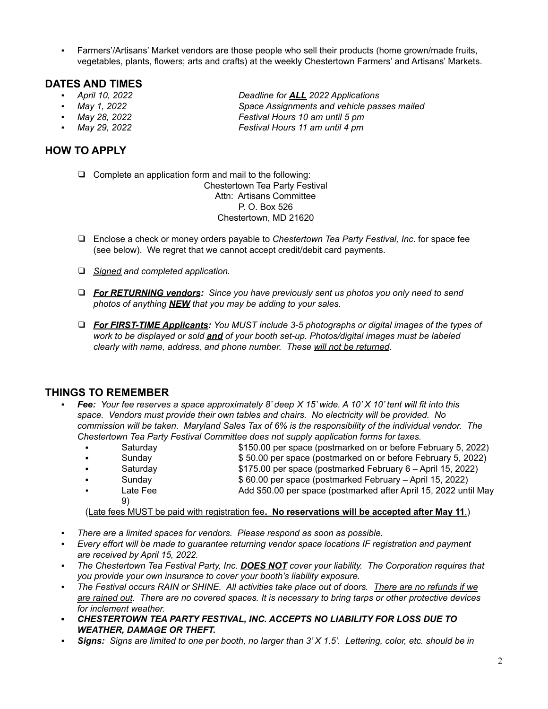Farmers'/Artisans' Market vendors are those people who sell their products (home grown/made fruits, vegetables, plants, flowers; arts and crafts) at the weekly Chestertown Farmers' and Artisans' Markets.

### **DATES AND TIMES**

- 
- 
- 
- 

# **HOW TO APPLY**

❑ Complete an application form and mail to the following: Chestertown Tea Party Festival Attn: Artisans Committee

P. O. Box 526 Chestertown, MD 21620

- ❑ Enclose a check or money orders payable to *Chestertown Tea Party Festival, Inc*. for space fee (see below). We regret that we cannot accept credit/debit card payments.
- ❑ *Signed and completed application.*
- ❑ *For RETURNING vendors: Since you have previously sent us photos you only need to send photos of anything NEW that you may be adding to your sales.*
- ❑ *For FIRST-TIME Applicants: You MUST include 3-5 photographs or digital images of the types of work to be displayed or sold and of your booth set-up. Photos/digital images must be labeled clearly with name, address, and phone number. These will not be returned.*

# **THINGS TO REMEMBER**

- Fee: Your fee reserves a space approximately 8' deep  $X$  15' wide. A 10' X 10' tent will fit into this *space. Vendors must provide their own tables and chairs. No electricity will be provided. No commission will be taken. Maryland Sales Tax of 6% is the responsibility of the individual vendor. The Chestertown Tea Party Festival Committee does not supply application forms for taxes.*
	- Saturday **\$150.00 per space (postmarked on or before February 5, 2022)**
	- Sunday \$ 50.00 per space (postmarked on or before February 5, 2022)
	- Saturday \$175.00 per space (postmarked February 6 April 15, 2022)
	- Sunday \$ 60.00 per space (postmarked February April 15, 2022)
	- Late Fee **Add \$50.00 per space (postmarked after April 15, 2022 until May** 9)

(Late fees MUST be paid with registration fee**. No reservations will be accepted after May 11**.)

- *▪ There are a limited spaces for vendors. Please respond as soon as possible.*
- *▪ Every effort will be made to guarantee returning vendor space locations IF registration and payment are received by April 15, 2022.*
- *▪ The Chestertown Tea Festival Party, Inc. DOES NOT cover your liability. The Corporation requires that you provide your own insurance to cover your booth's liability exposure.*
- The Festival occurs RAIN or SHINE. All activities take place out of doors. There are no refunds if we are rained out. There are no covered spaces. It is necessary to bring tarps or other protective devices *for inclement weather.*
- *▪ CHESTERTOWN TEA PARTY FESTIVAL, INC. ACCEPTS NO LIABILITY FOR LOSS DUE TO WEATHER, DAMAGE OR THEFT.*
- Signs: Signs are limited to one per booth, no larger than  $3'X 1.5'$ . Lettering, color, etc. should be in

*▪ April 10, 2022 Deadline for ALL 2022 Applications ▪ May 1, 2022 Space Assignments and vehicle passes mailed ▪ May 28, 2022 Festival Hours 10 am until 5 pm ▪ May 29, 2022 Festival Hours 11 am until 4 pm*